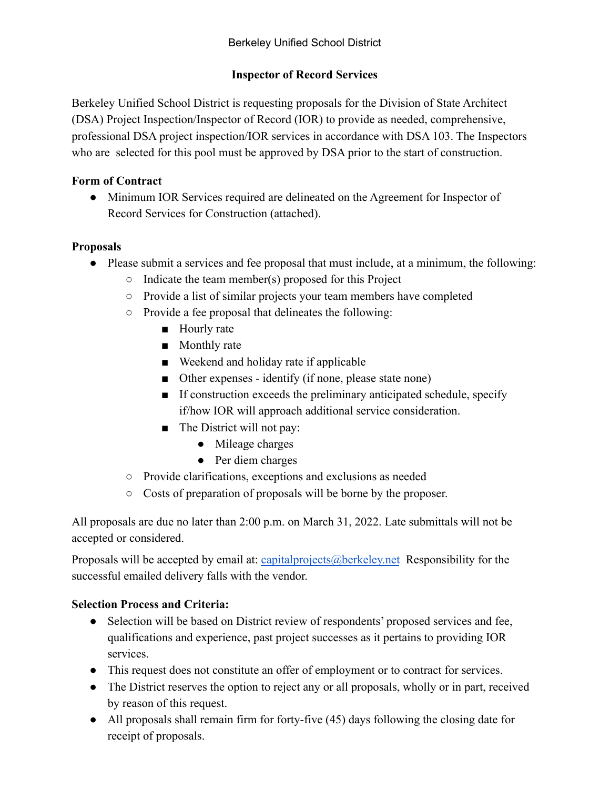# **Inspector of Record Services**

Berkeley Unified School District is requesting proposals for the Division of State Architect (DSA) Project Inspection/Inspector of Record (IOR) to provide as needed, comprehensive, professional DSA project inspection/IOR services in accordance with DSA 103. The Inspectors who are selected for this pool must be approved by DSA prior to the start of construction.

# **Form of Contract**

• Minimum IOR Services required are delineated on the Agreement for Inspector of Record Services for Construction (attached).

#### **Proposals**

- Please submit a services and fee proposal that must include, at a minimum, the following:
	- $\circ$  Indicate the team member(s) proposed for this Project
	- Provide a list of similar projects your team members have completed
	- Provide a fee proposal that delineates the following:
		- Hourly rate
		- Monthly rate
		- Weekend and holiday rate if applicable
		- Other expenses identify (if none, please state none)
		- If construction exceeds the preliminary anticipated schedule, specify if/how IOR will approach additional service consideration.
		- The District will not pay:
			- Mileage charges
			- Per diem charges
	- Provide clarifications, exceptions and exclusions as needed
	- Costs of preparation of proposals will be borne by the proposer.

All proposals are due no later than 2:00 p.m. on March 31, 2022. Late submittals will not be accepted or considered.

Proposals will be accepted by email at: [capitalprojects@berkeley.net](mailto:capitalprojects@berkeley.net) Responsibility for the successful emailed delivery falls with the vendor.

# **Selection Process and Criteria:**

- Selection will be based on District review of respondents' proposed services and fee, qualifications and experience, past project successes as it pertains to providing IOR services.
- This request does not constitute an offer of employment or to contract for services.
- The District reserves the option to reject any or all proposals, wholly or in part, received by reason of this request.
- All proposals shall remain firm for forty-five (45) days following the closing date for receipt of proposals.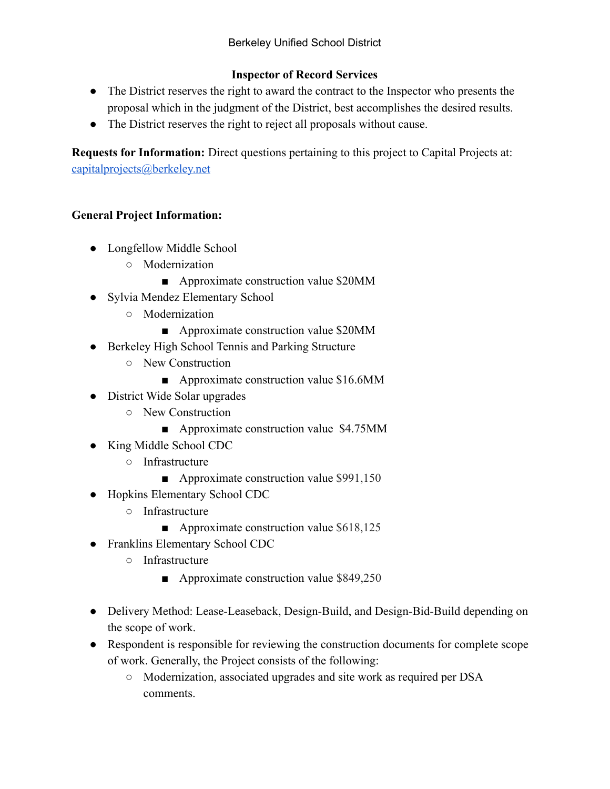## **Inspector of Record Services**

- The District reserves the right to award the contract to the Inspector who presents the proposal which in the judgment of the District, best accomplishes the desired results.
- The District reserves the right to reject all proposals without cause.

**Requests for Information:** Direct questions pertaining to this project to Capital Projects at: [capitalprojects@berkeley.net](mailto:capitalprojects@berkeley.net)

# **General Project Information:**

- Longfellow Middle School
	- Modernization
		- Approximate construction value \$20MM
- Sylvia Mendez Elementary School
	- Modernization
		- Approximate construction value \$20MM
- Berkeley High School Tennis and Parking Structure
	- New Construction
		- Approximate construction value \$16.6MM
- District Wide Solar upgrades
	- New Construction
		- Approximate construction value \$4.75MM
- King Middle School CDC
	- Infrastructure
		- Approximate construction value \$991,150
- Hopkins Elementary School CDC
	- Infrastructure
		- Approximate construction value \$618,125
- Franklins Elementary School CDC
	- Infrastructure
		- Approximate construction value \$849,250
- Delivery Method: Lease-Leaseback, Design-Build, and Design-Bid-Build depending on the scope of work.
- Respondent is responsible for reviewing the construction documents for complete scope of work. Generally, the Project consists of the following:
	- Modernization, associated upgrades and site work as required per DSA comments.